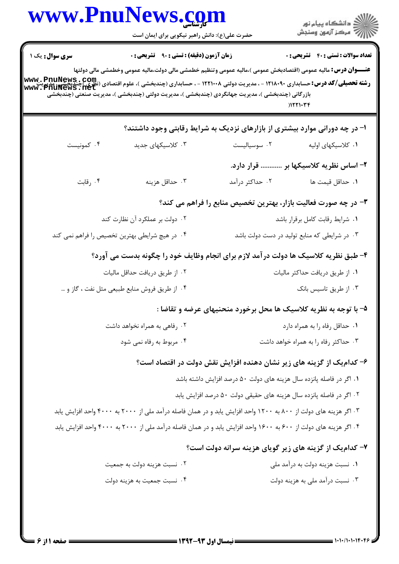|                                                | www.PnuNews.com<br>حضرت علی(ع): دانش راهبر نیکویی برای ایمان است                                                                                                                                                                                                                                                                                                                                                                                |                                                                       | ر<br>دانشڪاه پيام نور)<br>ا∛ مرڪز آزمون وسنڊش                |  |
|------------------------------------------------|-------------------------------------------------------------------------------------------------------------------------------------------------------------------------------------------------------------------------------------------------------------------------------------------------------------------------------------------------------------------------------------------------------------------------------------------------|-----------------------------------------------------------------------|--------------------------------------------------------------|--|
| سری سوال : یک ۱                                | زمان آزمون (دقیقه) : تستی : ۹۰٪ تشریحی : ۰<br><b>عنـــوان درس:</b> مالیه عمومی (اقتصادبخش عمومی )،مالیه عمومی وتنظیم خطمشی مالی دولت،مالیه عمومی وخطمشی مالی دولتها<br><b>رشته تحصیلی/کد درس:</b> حسابداری ۱۲۱۸۰۹۰ - ، مدیریت دولتی ۱۲۲۱۰۰۸ - ، حسابداری (چندبخشی )، علوم اقتصادی (نقته تحصی <b>لی/کد درس:حیدیلیگ</b><br>Www : Pnulews : net<br>بازرگانی (چندبخشی )، مدیریت جهانگردی (چندبخشی )، مدیریت دولتی (چندبخشی )، مدیریت صنعتی (چندبخشی |                                                                       | <b>تعداد سوالات : تستی : 40 ٪ تشریحی : 0</b><br>$)$ $171.77$ |  |
|                                                | ا- در چه دورانی موارد بیشتری از بازارهای نزدیک به شرایط رقابتی وجود داشتند؟                                                                                                                                                                                                                                                                                                                                                                     |                                                                       |                                                              |  |
| ۰۴ کمونیست                                     | ۰۳ کلاسیکهای جدید                                                                                                                                                                                                                                                                                                                                                                                                                               | ٠٢ سوسياليست                                                          | ۰۱ کلاسیکهای اولیه                                           |  |
|                                                |                                                                                                                                                                                                                                                                                                                                                                                                                                                 |                                                                       | ۲– اساس نظریه کلاسیکها بر  قرار دارد.                        |  |
| ۰۴ رقابت                                       | ۰۳ حداقل هزينه                                                                                                                                                                                                                                                                                                                                                                                                                                  | ۰۲ حداکثر درآمد                                                       | <b>۱.</b> حداقل قیمت ها                                      |  |
|                                                |                                                                                                                                                                                                                                                                                                                                                                                                                                                 | ۳- در چه صورت فعالیت بازار، بهترین تخصیص منابع را فراهم می کند؟       |                                                              |  |
| ۰۲ دولت بر عملکرد آن نظارت کند                 |                                                                                                                                                                                                                                                                                                                                                                                                                                                 |                                                                       | ٠١ شرايط رقابت كامل برقرار باشد                              |  |
| ۰۴ در هیچ شرایطی بهترین تخصیص را فراهم نمی کند |                                                                                                                                                                                                                                                                                                                                                                                                                                                 |                                                                       | ۰۳ در شرایطی که منابع تولید در دست دولت باشد                 |  |
|                                                | ۴- طبق نظریه کلاسیک ها دولت در آمد لازم برای انجام وظایف خود را چگونه بدست می آورد؟                                                                                                                                                                                                                                                                                                                                                             |                                                                       |                                                              |  |
|                                                | ۰۲ از طریق دریافت حداقل مالیات                                                                                                                                                                                                                                                                                                                                                                                                                  |                                                                       | ٠١ از طريق دريافت حداكثر ماليات                              |  |
|                                                | ۰۴ از طریق فروش منابع طبیعی مثل نفت ، گاز و …                                                                                                                                                                                                                                                                                                                                                                                                   |                                                                       | ۰۳ از طریق تاسیس بانک                                        |  |
|                                                |                                                                                                                                                                                                                                                                                                                                                                                                                                                 | ۵- با توجه به نظریه کلاسیک ها محل برخورد منحنیهای عرضه و تقاضا :      |                                                              |  |
| ۰۲ رفاهی به همراه نخواهد داشت                  |                                                                                                                                                                                                                                                                                                                                                                                                                                                 | ٠١. حداقل رفاه را به همراه دارد                                       |                                                              |  |
|                                                | ۰۴ مربوط به رفاه نمی شود                                                                                                                                                                                                                                                                                                                                                                                                                        |                                                                       | ۰۳ حداکثر رفاه را به همراه خواهد داشت                        |  |
|                                                |                                                                                                                                                                                                                                                                                                                                                                                                                                                 | ۶– کدام یک از گزینه های زیر نشان دهنده افزایش نقش دولت در اقتصاد است؟ |                                                              |  |
|                                                |                                                                                                                                                                                                                                                                                                                                                                                                                                                 | ۰۱ اگر در فاصله پانزده سال هزینه های دولت ۵۰ درصد افزایش داشته باشد   |                                                              |  |
|                                                |                                                                                                                                                                                                                                                                                                                                                                                                                                                 | ۰۲ اگر در فاصله پانزده سال هزینه های حقیقی دولت ۵۰ درصد افزایش یابد   |                                                              |  |
|                                                | ۰۳ اگر هزینه های دولت از ۸۰۰ به ۱۲۰۰ واحد افزایش یابد و در همان فاصله درآمد ملی از ۲۰۰۰ به ۴۰۰۰ واحد افزایش یابد                                                                                                                                                                                                                                                                                                                                |                                                                       |                                                              |  |
|                                                | ۰۴ اگر هزینه های دولت از ۶۰۰ به ۱۶۰۰ واحد افزایش یابد و در همان فاصله درآمد ملی از ۲۰۰۰ به ۴۰۰۰ واحد افزایش یابد                                                                                                                                                                                                                                                                                                                                |                                                                       |                                                              |  |
|                                                |                                                                                                                                                                                                                                                                                                                                                                                                                                                 | ۷- کدام یک از گزینه های زیر گویای هزینه سرانه دولت است؟               |                                                              |  |
|                                                | ۰۲ نسبت هزینه دولت به جمعیت                                                                                                                                                                                                                                                                                                                                                                                                                     |                                                                       | ۰۱ نسبت هزینه دولت به درآمد ملی                              |  |
|                                                | ۰۴ نسبت جمعیت به هزینه دولت                                                                                                                                                                                                                                                                                                                                                                                                                     |                                                                       | ۰۳ نسبت درآمد ملی به هزینه دولت                              |  |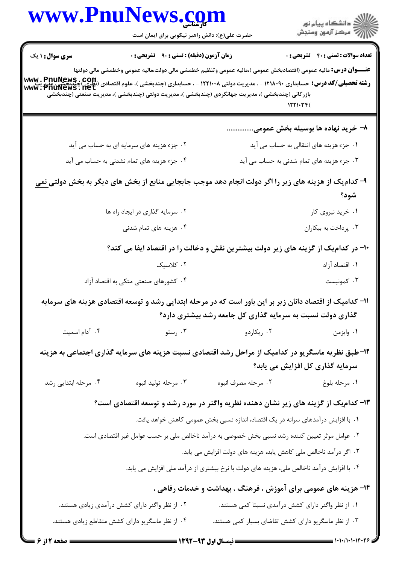| www.PnuNews.com                                                                                                                                                    | حضرت علی(ع): دانش راهبر نیکویی برای ایمان است                                                                                                                                                                                                                                  |                                                                                          | ڪ دانشڪاه پيام نور<br>پ <sup>س</sup> مرڪز آزمون وسنڊش                                |
|--------------------------------------------------------------------------------------------------------------------------------------------------------------------|--------------------------------------------------------------------------------------------------------------------------------------------------------------------------------------------------------------------------------------------------------------------------------|------------------------------------------------------------------------------------------|--------------------------------------------------------------------------------------|
| سری سوال: ۱ یک<br><b>رشته تحصیلی/کد درس:</b> حسابداری ۱۲۱۸۰۹۰ - ، مدیریت دولتی ۱۲۲۱۰۰۸ - ، حسابداری (چندبخشی )، علوم اقتصادی (نظری) چندبخش<br>www ، Pnuflews ، Het | <b>زمان آزمون (دقیقه) : تستی : ۹۰٪ تشریحی : 0</b><br><b>عنــــوان درس:</b> مالیه عمومی (اقتصادبخش عمومی )،مالیه عمومی وتنظیم خطمشی مالی دولت،مالیه عمومی وخطمشی مالی دولتها<br>بازرگانی (چندبخشی )، مدیریت جهانگردی (چندبخشی )، مدیریت دولتی (چندبخشی )، مدیریت صنعتی (چندبخشی |                                                                                          | <b>تعداد سوالات : تستي : 40 ٪ تشريحي : 0</b>                                         |
|                                                                                                                                                                    |                                                                                                                                                                                                                                                                                |                                                                                          | ۸– خرید نهاده ها بوسیله بخش عمومی                                                    |
|                                                                                                                                                                    | ۰۲ جزء هزینه های سرمایه ای به حساب می آید                                                                                                                                                                                                                                      |                                                                                          | ۰۱ جزء هزینه های انتقالی به حساب می آید<br>۰۳ جزء هزینه های تمام شدنی به حساب می آید |
|                                                                                                                                                                    | ۰۴ جزء هزینه های تمام نشدنی به حساب می آید                                                                                                                                                                                                                                     |                                                                                          |                                                                                      |
|                                                                                                                                                                    | ۹- کدام یک از هزینه های زیر را اگر دولت انجام دهد موجب جابجایی منابع از بخش های دیگر به بخش دولتی <u>نمی</u>                                                                                                                                                                   |                                                                                          | شود؟                                                                                 |
|                                                                                                                                                                    | ۰۲ سرمایه گذاری در ایجاد راه ها                                                                                                                                                                                                                                                |                                                                                          | ۰۱ خرید نیروی کار                                                                    |
|                                                                                                                                                                    | ۰۴ هزینه های تمام شدنی                                                                                                                                                                                                                                                         |                                                                                          | ۰۳ پرداخت به بیکاران                                                                 |
|                                                                                                                                                                    | +۱- در کدام یک از گزینه های زیر دولت بیشترین نقش و دخالت را در اقتصاد ایفا می کند؟                                                                                                                                                                                             |                                                                                          |                                                                                      |
|                                                                                                                                                                    | ۰۲ کلاسیک                                                                                                                                                                                                                                                                      |                                                                                          | ۰۱ اقتصاد آزاد                                                                       |
|                                                                                                                                                                    | ۰۴ کشورهای صنعتی متکی به اقتصاد آزاد                                                                                                                                                                                                                                           |                                                                                          | ۰۳ کمونیست                                                                           |
|                                                                                                                                                                    | 1۱– کدامیک از اقتصاد دانان زیر بر این باور است که در مرحله ابتدایی رشد و توسعه اقتصادی هزینه های سرمایه                                                                                                                                                                        | گذاری دولت نسبت به سرمایه گذاری کل جامعه رشد بیشتری دارد؟                                |                                                                                      |
| ۰۴ آدام اسمیت                                                                                                                                                      | ستو $\cdot$ ۳ . رستو                                                                                                                                                                                                                                                           | ۰۲ ريکاردو                                                                               | ٠١ وايزمن                                                                            |
|                                                                                                                                                                    | ۱۲-طبق نظریه ماسگریو در کدامیک از مراحل رشد اقتصادی نسبت هزینه های سرمایه گذاری اجتماعی به هزینه                                                                                                                                                                               |                                                                                          | سرمایه گذاری کل افزایش می یابد؟                                                      |
| ۰۴ مرحله ابتدایی رشد                                                                                                                                               | ۰۳ مرحله تولید انبوه                                                                                                                                                                                                                                                           | ۰۲ مرحله مصرف انبوه                                                                      | ٠١ مرحله بلوغ                                                                        |
|                                                                                                                                                                    | ۱۳– کدام یک از گزینه های زیر نشان دهنده نظریه واگنر در مورد رشد و توسعه اقتصادی است؟                                                                                                                                                                                           |                                                                                          |                                                                                      |
|                                                                                                                                                                    |                                                                                                                                                                                                                                                                                | ۰۱ با افزایش درآمدهای سرانه در یک اقتصاد، اندازه نسبی بخش عمومی کاهش خواهد یافت.         |                                                                                      |
|                                                                                                                                                                    | ۰۲ عوامل موثر تعیین کننده رشد نسبی بخش خصوصی به درآمد ناخالص ملی بر حسب عوامل غیر اقتصادی است.                                                                                                                                                                                 |                                                                                          |                                                                                      |
|                                                                                                                                                                    |                                                                                                                                                                                                                                                                                | ۰۳ اگر درآمد ناخالص ملی کاهش یابد، هزینه های دولت افزایش می یابد.                        |                                                                                      |
|                                                                                                                                                                    |                                                                                                                                                                                                                                                                                | ۰۴ با افزایش درآمد ناخالص ملی، هزینه های دولت با نرخ بیشتری از درآمد ملی افزایش می یابد. |                                                                                      |
|                                                                                                                                                                    |                                                                                                                                                                                                                                                                                | ۱۴- هزینه های عمومی برای آموزش ، فرهنگ ، بهداشت و خدمات رفاهی ،                          |                                                                                      |
|                                                                                                                                                                    | ۰۲ از نظر واگنر دارای کشش درآمدی زیادی هستند.                                                                                                                                                                                                                                  | ۰۱ از نظر واگنر دارای کشش درآمدی نسبتا کمی هستند.                                        |                                                                                      |
|                                                                                                                                                                    | ۰۴ از نظر ماسگریو دارای کشش متقاطع زیادی هستند.                                                                                                                                                                                                                                | ۰۳ از نظر ماسگریو دارای کشش تقاضای بسیار کمی هستند.                                      |                                                                                      |
| <b>ـــ صفحه 2 از 6</b>                                                                                                                                             |                                                                                                                                                                                                                                                                                |                                                                                          |                                                                                      |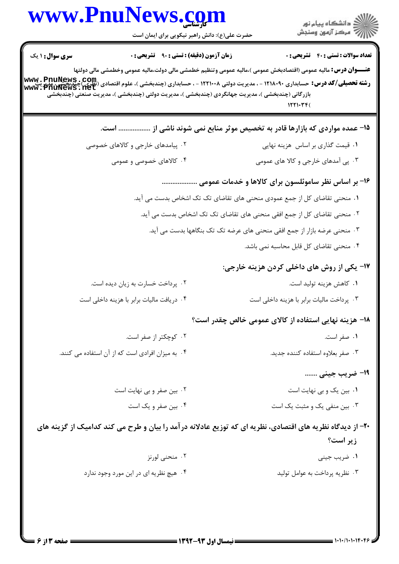| www.PnuNews.com                                                                                                                                                                                                                                                                                                                        |                                                                                                                        |
|----------------------------------------------------------------------------------------------------------------------------------------------------------------------------------------------------------------------------------------------------------------------------------------------------------------------------------------|------------------------------------------------------------------------------------------------------------------------|
| حضرت علی(ع): دانش راهبر نیکویی برای ایمان است                                                                                                                                                                                                                                                                                          | )<br>  دانشگاه پيام نور<br>    درکز آزمون وسنجش                                                                        |
| <b>سری سوال :</b> ۱ یک<br>زمان آزمون (دقیقه) : تستی : ۹۰٪ تشریحی : ۰                                                                                                                                                                                                                                                                   | <b>تعداد سوالات : تستی : 40 قشریحی : 0</b>                                                                             |
|                                                                                                                                                                                                                                                                                                                                        | <b>عنــــوان درس:</b> مالیه عمومی (اقتصادبخش عمومی )،مالیه عمومی وتنظیم خطمشی مالی دولت،مالیه عمومی وخطمشی مالی دولتها |
| رشته تحصیلی/کد درس: حسابداری ۱۲۱۸۰۹۰ - ، مدیریت دولتی ۱۲۲۱۰۰۸ - ، حسابداری (چندبخشی )، علوم اقتصادی (نظری)چندبخش<br>Www ، Pnuflews ، net<br>انتقلت است کلیس کشیر (منتقل است کلیست الله علی است الله علی است الله علی منتقل الله الل<br>بازرگانی (چندبخشی )، مدیریت جهانگردی (چندبخشی )، مدیریت دولتی (چندبخشی )، مدیریت صنعتی (چندبخشی |                                                                                                                        |
|                                                                                                                                                                                                                                                                                                                                        | 1571.77                                                                                                                |
|                                                                                                                                                                                                                                                                                                                                        | ۱۵– عمده مواردی که بازارها قادر به تخصیص موثر منابع نمی شوند ناشی از  است.                                             |
| ۰۲ پیامدهای خارجی و کالاهای خصوصی                                                                                                                                                                                                                                                                                                      | ۰۱ قیمت گذاری بر اساس هزینه نهایی                                                                                      |
| ۰۴ کالاهای خصوصی و عمومی                                                                                                                                                                                                                                                                                                               | ۰۳ پی آمدهای خارجی و کالا های عمومی                                                                                    |
|                                                                                                                                                                                                                                                                                                                                        | ۱۶- بر اساس نظر ساموئلسون برای کالاها و خدمات عمومی                                                                    |
|                                                                                                                                                                                                                                                                                                                                        | ۰۱ منحنی تقاضای کل از جمع عمودی منحنی های تقاضای تک تک اشخاص بدست می آید.                                              |
|                                                                                                                                                                                                                                                                                                                                        | ۰۲ منحنی تقاضای کل از جمع افقی منحنی های تقاضای تک تک اشخاص بدست می آید.                                               |
|                                                                                                                                                                                                                                                                                                                                        | ۰۳ منحنی عرضه بازار از جمع افقی منحنی های عرضه تک تک بنگاهها بدست می آید.                                              |
|                                                                                                                                                                                                                                                                                                                                        | ۰۴ منحنی تقاضای کل قابل محاسبه نمی باشد.                                                                               |
|                                                                                                                                                                                                                                                                                                                                        | <b>۱۷- یکی از روش های داخلی کردن هزینه خارجی:</b>                                                                      |
| ۰۲ پرداخت خسارت به زیان دیده است.                                                                                                                                                                                                                                                                                                      | ۰۱ كاهش هزينه توليد است.                                                                                               |
| ۰۴ دریافت مالیات برابر با هزینه داخلی است                                                                                                                                                                                                                                                                                              | ۰۳ پرداخت مالیات برابر با هزینه داخلی است                                                                              |
|                                                                                                                                                                                                                                                                                                                                        | ۱۸- هزینه نهایی استفاده از کالای عمومی خالص چقدر است؟                                                                  |
| ۰۲ کوچکتر از صفر است.                                                                                                                                                                                                                                                                                                                  | ۰۱ صفر است.                                                                                                            |
| ۰۴ به میزان افرادی است که از آن استفاده می کنند.                                                                                                                                                                                                                                                                                       | ۰۳ صفر بعلاوه استفاده كننده جديد.                                                                                      |
|                                                                                                                                                                                                                                                                                                                                        | 1۹- ضریب جینی                                                                                                          |
| ۰۲ بین صفر و بی نهایت است                                                                                                                                                                                                                                                                                                              | ۰۱ بین یک و بی نهایت است                                                                                               |
| ۰۴ بین صفر و یک است                                                                                                                                                                                                                                                                                                                    | ۰۳ بین منفی یک و مثبت یک است                                                                                           |
| ۲۰- از دیدگاه نظریه های اقتصادی، نظریه ای که توزیع عادلانه در آمد را بیان و طرح می کند کدامیک از گزینه های                                                                                                                                                                                                                             |                                                                                                                        |
|                                                                                                                                                                                                                                                                                                                                        | زير است؟                                                                                                               |
| ۰۲ منحنی لورنز                                                                                                                                                                                                                                                                                                                         | ۰۱ ضریب جینی                                                                                                           |
| ۰۴ هیچ نظریه ای در این مورد وجود ندارد                                                                                                                                                                                                                                                                                                 | ۰۳ نظریه پرداخت به عوامل تولید                                                                                         |
|                                                                                                                                                                                                                                                                                                                                        |                                                                                                                        |
|                                                                                                                                                                                                                                                                                                                                        |                                                                                                                        |
|                                                                                                                                                                                                                                                                                                                                        |                                                                                                                        |

 $= 1.1.11.11117.59$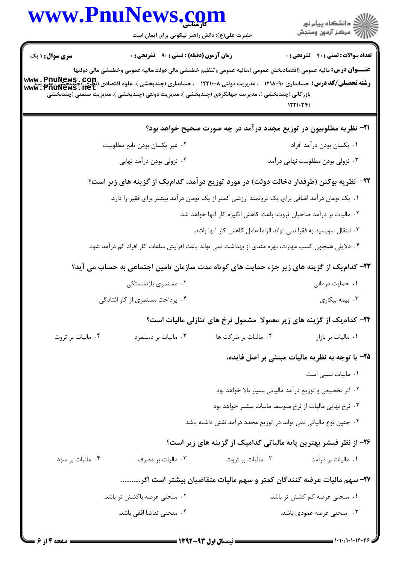| www.PnuNews.com                                                                                                                                                  | حضرت علی(ع): دانش راهبر نیکویی برای ایمان است                                                      |                                                                     | ِ<br>∭ دانشڪاه پيام نور<br>∭ مرڪز آزمون وسنڊش                                                                                      |
|------------------------------------------------------------------------------------------------------------------------------------------------------------------|----------------------------------------------------------------------------------------------------|---------------------------------------------------------------------|------------------------------------------------------------------------------------------------------------------------------------|
| <b>سری سوال :</b> ۱ یک                                                                                                                                           | زمان آزمون (دقیقه) : تستی : ۹۰٪ تشریحی : ۰                                                         |                                                                     | <b>تعداد سوالات : تستي : 40 - تشريحي : 0</b>                                                                                       |
| <b>رشته تحصیلی/کد درس:</b><br>- مسابداری ۱۲۱۸۰۹۰ - ، مدیریت دولتی ۱۲۲۱۰۰۸ - ، حسابداری (چندبخشی )، علوم اقتصادی (نظری) چندبخشی، مدیر پنج<br> www . PnuNews . net | بازرگانی (چندبخشی )، مدیریت جهانگردی (چندبخشی )، مدیریت دولتی (چندبخشی )، مدیریت صنعتی (چندبخشی    |                                                                     | <b>عنــــوان درس:</b> مالیه عمومی (اقتصادبخش عمومی )،مالیه عمومی وتنظیم خطمشی مالی دولت،مالیه عمومی وخطمشی مالی دولتها<br>۱۲۲۱۰۳۴( |
|                                                                                                                                                                  |                                                                                                    |                                                                     | <b>۳۱</b> - نظریه مطلوبیون در توزیع مجدد درآمد در چه صورت صحیح خواهد بود؟                                                          |
|                                                                                                                                                                  | ٢. غير يكسان بودن تابع مطلوبيت                                                                     |                                                                     | ٠١. يكسان بودن درآمد افراد                                                                                                         |
|                                                                                                                                                                  | ۰۴ نزولی بودن درآمد نهایی                                                                          |                                                                     | ۰۳ نزولی بودن مطلوبیت نهایی درآمد                                                                                                  |
|                                                                                                                                                                  |                                                                                                    |                                                                     | ۲۲– نظریه بوکنن (طرفدار دخالت دولت) در مورد توزیع در آمد، کدامیک از گزینه های زیر است؟                                             |
|                                                                                                                                                                  | ۰۱ یک تومان درآمد اضافی برای یک ثروتمند ارزشی کمتر از یک تومان درآمد بیشتر برای فقیر را دارد.      | ۰۲ مالیات بر درآمد صاحبان ثروت، باعث کاهش انگیزه کار آنها خواهد شد. |                                                                                                                                    |
|                                                                                                                                                                  |                                                                                                    | ۰۳ انتقال سوبسید به فقرا نمی تواند الزاما عامل کاهش کار آنها باشد.  |                                                                                                                                    |
|                                                                                                                                                                  | ۰۴ دلایلی همچون کسب مهارت، بهره مندی از بهداشت نمی تواند باعث افزایش ساعات کار افراد کم درآمد شود. |                                                                     |                                                                                                                                    |
|                                                                                                                                                                  |                                                                                                    |                                                                     | ۲۳- کدام یک از گزینه های زیر جزء حمایت های کوتاه مدت سازمان تامین اجتماعی به حساب می آید؟                                          |
|                                                                                                                                                                  | ۰۲ مستمری بازنشستگی                                                                                |                                                                     | ٠١ حمايت درماني                                                                                                                    |
|                                                                                                                                                                  | ۰۴ پرداخت مستمری از کار افتادگی                                                                    |                                                                     | ۰۳ بیمه بیکاری                                                                                                                     |
|                                                                                                                                                                  |                                                                                                    |                                                                     | ۲۴- کدام یک از گزینه های زیر معمولا مشمول نرخ های تنازلی مالیات است؟                                                               |
| ۰۴ مالیات بر ثروت                                                                                                                                                | ۰۳ مالیات بر دستمزد                                                                                | ۰۲ مالیات بر شرکت ها                                                | ٠١. ماليات بر بازار                                                                                                                |
|                                                                                                                                                                  |                                                                                                    |                                                                     | ۲۵- با توجه به نظریه مالیات مبتنی بر اصل فایده،                                                                                    |
|                                                                                                                                                                  |                                                                                                    |                                                                     | ۰۱ مالیات نسبی است                                                                                                                 |
|                                                                                                                                                                  |                                                                                                    |                                                                     | ۰۲ اثر تخصیص و توزیع درآمد مالیاتی بسیار بالا خواهد بود                                                                            |
|                                                                                                                                                                  |                                                                                                    |                                                                     | ۰۳ نرخ نهایی مالیات از نرخ متوسط مالیات بیشتر خواهد بود                                                                            |
|                                                                                                                                                                  |                                                                                                    | ۰۴ چنین نوع مالیاتی نمی تواند در توزیع مجدد درآمد نقش داشته باشد    |                                                                                                                                    |
|                                                                                                                                                                  |                                                                                                    |                                                                     | ۲۶- از نظر فیشر بهترین پایه مالیاتی کدامیک از گزینه های زیر است؟                                                                   |
| ۰۴ مالیات بر سود                                                                                                                                                 | ۰۳ مالیات بر مصرف                                                                                  | ۰۲ مالیات بر ثروت                                                   | ۰۱ مالیات بر درآمد                                                                                                                 |
|                                                                                                                                                                  |                                                                                                    |                                                                     | ۲۷– سهم مالیات عرضه کنندگان کمتر و سهم مالیات متقاضیان بیشتر است اگر                                                               |
|                                                                                                                                                                  | ۰۲ منحنی عرضه باکشش تر باشد.                                                                       |                                                                     | ۰۱ منحنی عرضه کم کشش تر باشد.                                                                                                      |
|                                                                                                                                                                  | ۰۴ منحنی تقاضا افقی باشد.                                                                          |                                                                     | ۰۳ منحنی عرضه عمودی باشد.                                                                                                          |
|                                                                                                                                                                  |                                                                                                    |                                                                     |                                                                                                                                    |

 $\mathbf \zeta$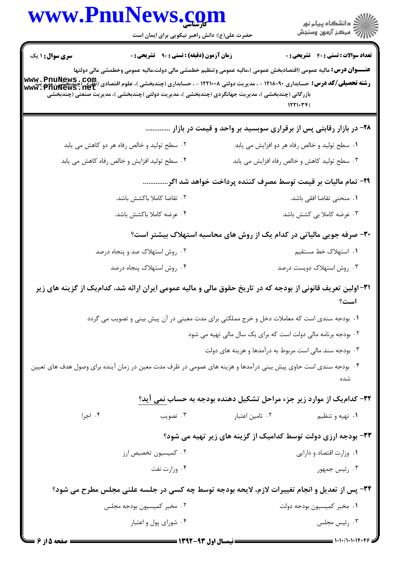| www.PnuNews.com                                                                                                                                                                                                                                 |                                                  |                 |                                                                                                                                    |
|-------------------------------------------------------------------------------------------------------------------------------------------------------------------------------------------------------------------------------------------------|--------------------------------------------------|-----------------|------------------------------------------------------------------------------------------------------------------------------------|
|                                                                                                                                                                                                                                                 | حضرت علی(ع): دانش راهبر نیکویی برای ایمان است    |                 | ِ دانشڪاه پيام نور<br>// مرکز آزمون وسنڊش                                                                                          |
| <b>سری سوال :</b> ۱ یک                                                                                                                                                                                                                          | <b>زمان آزمون (دقیقه) : تستی : ۹۰ تشریحی : 0</b> |                 | <b>تعداد سوالات : تستی : 40 - تشریحی : 0</b>                                                                                       |
| رشته تحصیلی/کد درس: حسابداری ۱۲۱۸۰۹۰ - ، مدیریت دولتی ۱۲۲۱۰۰۸ - ، حسابداری (چندبخشی )، علوم اقتصادی (تطری)چندبخشیم<br>  www . Pnuflews . net<br>بازرگانی (چندبخشی )، مدیریت جهانگردی (چندبخشی )، مدیریت دولتی (چندبخشی )، مدیریت صنعتی (چندبخشی |                                                  |                 | <b>عنــــوان درس:</b> مالیه عمومی (اقتصادبخش عمومی )،مالیه عمومی وتنظیم خطمشی مالی دولت،مالیه عمومی وخطمشی مالی دولتها<br>1221.34( |
|                                                                                                                                                                                                                                                 |                                                  |                 | ۲۸- در بازار رقابتی پس از برقراری سوبسید بر واحد و قیمت در بازار                                                                   |
| ۰۲ سطح تولید و خالص رفاه هر دو کاهش می یابد                                                                                                                                                                                                     |                                                  |                 | ۰۱ سطح تولید و خالص رفاه هر دو افزایش می یابد                                                                                      |
| ۰۴ سطح تولید افزایش و خالص رفاه کاهش می یابد                                                                                                                                                                                                    |                                                  |                 | ٠٣ سطح توليد كاهش و خالص رفاه افزايش مي يابد                                                                                       |
|                                                                                                                                                                                                                                                 |                                                  |                 | ۲۹- تمام مالیات بر قیمت توسط مصرف کننده پرداخت خواهد شد اگر                                                                        |
|                                                                                                                                                                                                                                                 | ۰۲ تقاضا کاملا باکشش باشد.                       |                 | ۰۱ منحنی تقاضا افقی باشد.                                                                                                          |
|                                                                                                                                                                                                                                                 | ۰۴ عرضه کاملا باکشش باشد.                        |                 | ۰۳ عرضه کاملا بی کشش باشد                                                                                                          |
|                                                                                                                                                                                                                                                 |                                                  |                 | ۳۰- صرفه جویی مالیاتی در کدام یک از روش های محاسبه استهلاک بیشتر است؟                                                              |
|                                                                                                                                                                                                                                                 | ۰۲ روش استهلاک صد و پنجاه درصد                   |                 | ٠١. استهلاک خط مستقيم                                                                                                              |
|                                                                                                                                                                                                                                                 | ۰۴ روش استهلاک پنجاه درصد                        |                 | ۰۳ روش استهلاک دویست درصد                                                                                                          |
| ۳۱–اولین تعریف قانونی از بودجه که در تاریخ حقوق مالی و مالیه عمومی ایران ارائه شد، کدامیک از گزینه های زیر                                                                                                                                      |                                                  |                 |                                                                                                                                    |
|                                                                                                                                                                                                                                                 |                                                  |                 | ۰۱ بودجه سندی است که معاملات دخل و خرج مملکتی برای مدت معینی در آن پیش بینی و تصویب می گردد                                        |
|                                                                                                                                                                                                                                                 |                                                  |                 | ۰۲ بودجه برنامه مالی دولت است که برای یک سال مالی تهیه می شود                                                                      |
|                                                                                                                                                                                                                                                 |                                                  |                 | ۰۳ بودجه سند مالی است مربوط به درآمدها و هزینه های دولت                                                                            |
| ۰۴ بودجه سندی است حاوی پیش بینی درآمدها و هزینه های عمومی در ظرف مدت معین در زمان آینده برای وصول هدف های تعیین                                                                                                                                 |                                                  |                 |                                                                                                                                    |
|                                                                                                                                                                                                                                                 |                                                  |                 | ۳۲- کدام یک از موارد زیر جزء مراحل تشکیل دهنده بودجه به حساب <u>نمی آید؟</u>                                                       |
| ۰۴ اجرا                                                                                                                                                                                                                                         | ۰۳ تصویب                                         | ۰۲ تامین اعتبار | ۰۱ تهیه و تنظیم                                                                                                                    |
|                                                                                                                                                                                                                                                 |                                                  |                 | ۳۳- بودجه ارزی دولت توسط کدامیک از گزینه های زیر تهیه می شود؟                                                                      |
| ۰۲ کمیسیون تخصیص ارز                                                                                                                                                                                                                            |                                                  |                 | ٠١ وزارت اقتصاد و دارايي                                                                                                           |
|                                                                                                                                                                                                                                                 | ۰۴ وزارت نفت                                     |                 | ۰۳ رئیس جمهور                                                                                                                      |
|                                                                                                                                                                                                                                                 |                                                  |                 | ۳۴- پس از تعدیل و انجام تغییرات لازم، لایحه بودجه توسط چه کسی در جلسه علنی مجلس مطرح می شود؟                                       |
|                                                                                                                                                                                                                                                 | ۰۲ مخبر کمیسیون بودجه مجلس                       |                 | ۰۱ مخبر کمیسیون بودجه دولت                                                                                                         |
|                                                                                                                                                                                                                                                 | ۰۴ شورای پول و اعتبار                            |                 | ۰۳ رئیس مجلس                                                                                                                       |
| <b>: صفحه 5 از 6</b>                                                                                                                                                                                                                            | <b>= نیمسال اول ۹۳-۱۳۹۲ =</b>                    |                 |                                                                                                                                    |